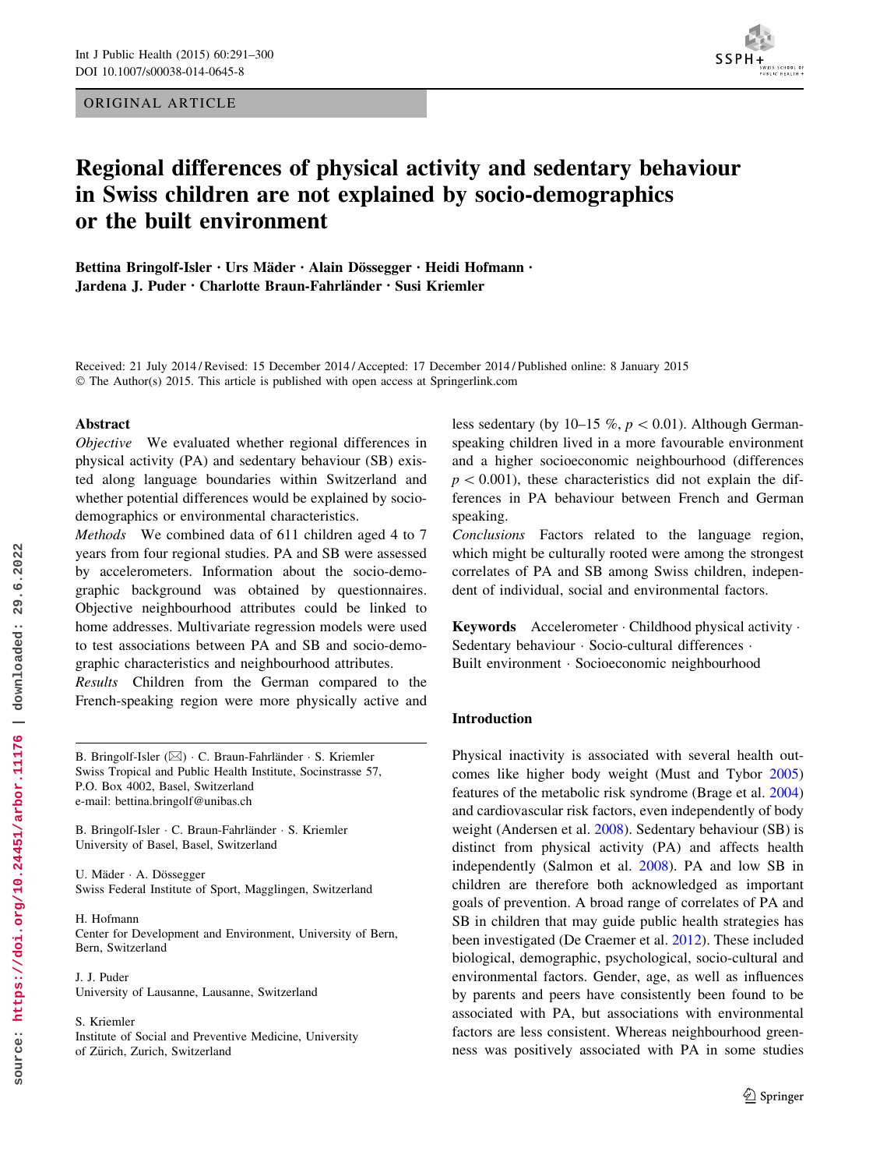ORIGINAL ARTICLE



# Regional differences of physical activity and sedentary behaviour in Swiss children are not explained by socio-demographics or the built environment

Bettina Bringolf-Isler • Urs Mäder • Alain Dössegger • Heidi Hofmann • Jardena J. Puder • Charlotte Braun-Fahrla¨nder • Susi Kriemler

Received: 21 July 2014 / Revised: 15 December 2014 / Accepted: 17 December 2014 / Published online: 8 January 2015 © The Author(s) 2015. This article is published with open access at Springerlink.com

#### Abstract

Objective We evaluated whether regional differences in physical activity (PA) and sedentary behaviour (SB) existed along language boundaries within Switzerland and whether potential differences would be explained by sociodemographics or environmental characteristics.

Methods We combined data of 611 children aged 4 to 7 years from four regional studies. PA and SB were assessed by accelerometers. Information about the socio-demographic background was obtained by questionnaires. Objective neighbourhood attributes could be linked to home addresses. Multivariate regression models were used to test associations between PA and SB and socio-demographic characteristics and neighbourhood attributes.

Results Children from the German compared to the French-speaking region were more physically active and

B. Bringolf-Isler (⊠) · C. Braun-Fahrländer · S. Kriemler Swiss Tropical and Public Health Institute, Socinstrasse 57, P.O. Box 4002, Basel, Switzerland e-mail: bettina.bringolf@unibas.ch

B. Bringolf-Isler · C. Braun-Fahrländer · S. Kriemler University of Basel, Basel, Switzerland

U. Mäder · A. Dössegger Swiss Federal Institute of Sport, Magglingen, Switzerland

H. Hofmann Center for Development and Environment, University of Bern, Bern, Switzerland

J. J. Puder University of Lausanne, Lausanne, Switzerland

S. Kriemler

Institute of Social and Preventive Medicine, University of Zürich, Zurich, Switzerland

less sedentary (by 10–15 %,  $p < 0.01$ ). Although Germanspeaking children lived in a more favourable environment and a higher socioeconomic neighbourhood (differences  $p<0.001$ ), these characteristics did not explain the differences in PA behaviour between French and German speaking.

Conclusions Factors related to the language region, which might be culturally rooted were among the strongest correlates of PA and SB among Swiss children, independent of individual, social and environmental factors.

Keywords Accelerometer - Childhood physical activity - Sedentary behaviour · Socio-cultural differences · Built environment - Socioeconomic neighbourhood

### Introduction

Physical inactivity is associated with several health outcomes like higher body weight (Must and Tybor 2005) features of the metabolic risk syndrome (Brage et al. 2004) and cardiovascular risk factors, even independently of body weight (Andersen et al. 2008). Sedentary behaviour (SB) is distinct from physical activity (PA) and affects health independently (Salmon et al. 2008). PA and low SB in children are therefore both acknowledged as important goals of prevention. A broad range of correlates of PA and SB in children that may guide public health strategies has been investigated (De Craemer et al. 2012). These included biological, demographic, psychological, socio-cultural and environmental factors. Gender, age, as well as influences by parents and peers have consistently been found to be associated with PA, but associations with environmental factors are less consistent. Whereas neighbourhood greenness was positively associated with PA in some studies

2 Springer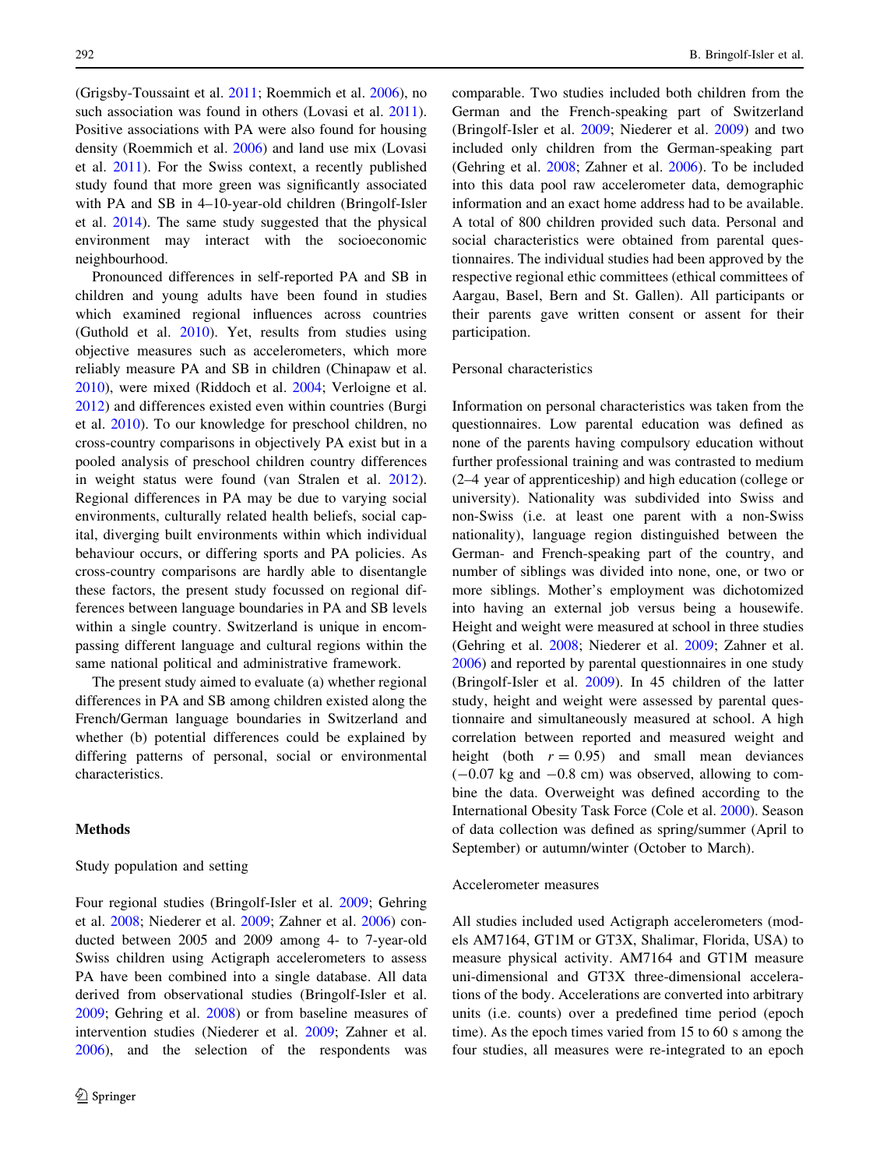(Grigsby-Toussaint et al. 2011; Roemmich et al. 2006), no such association was found in others (Lovasi et al. 2011). Positive associations with PA were also found for housing density (Roemmich et al. 2006) and land use mix (Lovasi et al. 2011). For the Swiss context, a recently published study found that more green was significantly associated with PA and SB in 4–10-year-old children (Bringolf-Isler et al. 2014). The same study suggested that the physical environment may interact with the socioeconomic neighbourhood.

Pronounced differences in self-reported PA and SB in children and young adults have been found in studies which examined regional influences across countries (Guthold et al. 2010). Yet, results from studies using objective measures such as accelerometers, which more reliably measure PA and SB in children (Chinapaw et al. 2010), were mixed (Riddoch et al. 2004; Verloigne et al. 2012) and differences existed even within countries (Burgi et al. 2010). To our knowledge for preschool children, no cross-country comparisons in objectively PA exist but in a pooled analysis of preschool children country differences in weight status were found (van Stralen et al. 2012). Regional differences in PA may be due to varying social environments, culturally related health beliefs, social capital, diverging built environments within which individual behaviour occurs, or differing sports and PA policies. As cross-country comparisons are hardly able to disentangle these factors, the present study focussed on regional differences between language boundaries in PA and SB levels within a single country. Switzerland is unique in encompassing different language and cultural regions within the same national political and administrative framework.

The present study aimed to evaluate (a) whether regional differences in PA and SB among children existed along the French/German language boundaries in Switzerland and whether (b) potential differences could be explained by differing patterns of personal, social or environmental characteristics.

### Methods

#### Study population and setting

Four regional studies (Bringolf-Isler et al. 2009; Gehring et al. 2008; Niederer et al. 2009; Zahner et al. 2006) conducted between 2005 and 2009 among 4- to 7-year-old Swiss children using Actigraph accelerometers to assess PA have been combined into a single database. All data derived from observational studies (Bringolf-Isler et al. 2009; Gehring et al. 2008) or from baseline measures of intervention studies (Niederer et al. 2009; Zahner et al. 2006), and the selection of the respondents was comparable. Two studies included both children from the German and the French-speaking part of Switzerland (Bringolf-Isler et al. 2009; Niederer et al. 2009) and two included only children from the German-speaking part (Gehring et al. 2008; Zahner et al. 2006). To be included into this data pool raw accelerometer data, demographic information and an exact home address had to be available. A total of 800 children provided such data. Personal and social characteristics were obtained from parental questionnaires. The individual studies had been approved by the respective regional ethic committees (ethical committees of Aargau, Basel, Bern and St. Gallen). All participants or their parents gave written consent or assent for their participation.

### Personal characteristics

Information on personal characteristics was taken from the questionnaires. Low parental education was defined as none of the parents having compulsory education without further professional training and was contrasted to medium (2–4 year of apprenticeship) and high education (college or university). Nationality was subdivided into Swiss and non-Swiss (i.e. at least one parent with a non-Swiss nationality), language region distinguished between the German- and French-speaking part of the country, and number of siblings was divided into none, one, or two or more siblings. Mother's employment was dichotomized into having an external job versus being a housewife. Height and weight were measured at school in three studies (Gehring et al. 2008; Niederer et al. 2009; Zahner et al. 2006) and reported by parental questionnaires in one study (Bringolf-Isler et al. 2009). In 45 children of the latter study, height and weight were assessed by parental questionnaire and simultaneously measured at school. A high correlation between reported and measured weight and height (both  $r = 0.95$ ) and small mean deviances  $(-0.07 \text{ kg and } -0.8 \text{ cm})$  was observed, allowing to combine the data. Overweight was defined according to the International Obesity Task Force (Cole et al. 2000). Season of data collection was defined as spring/summer (April to September) or autumn/winter (October to March).

### Accelerometer measures

All studies included used Actigraph accelerometers (models AM7164, GT1M or GT3X, Shalimar, Florida, USA) to measure physical activity. AM7164 and GT1M measure uni-dimensional and GT3X three-dimensional accelerations of the body. Accelerations are converted into arbitrary units (i.e. counts) over a predefined time period (epoch time). As the epoch times varied from 15 to 60 s among the four studies, all measures were re-integrated to an epoch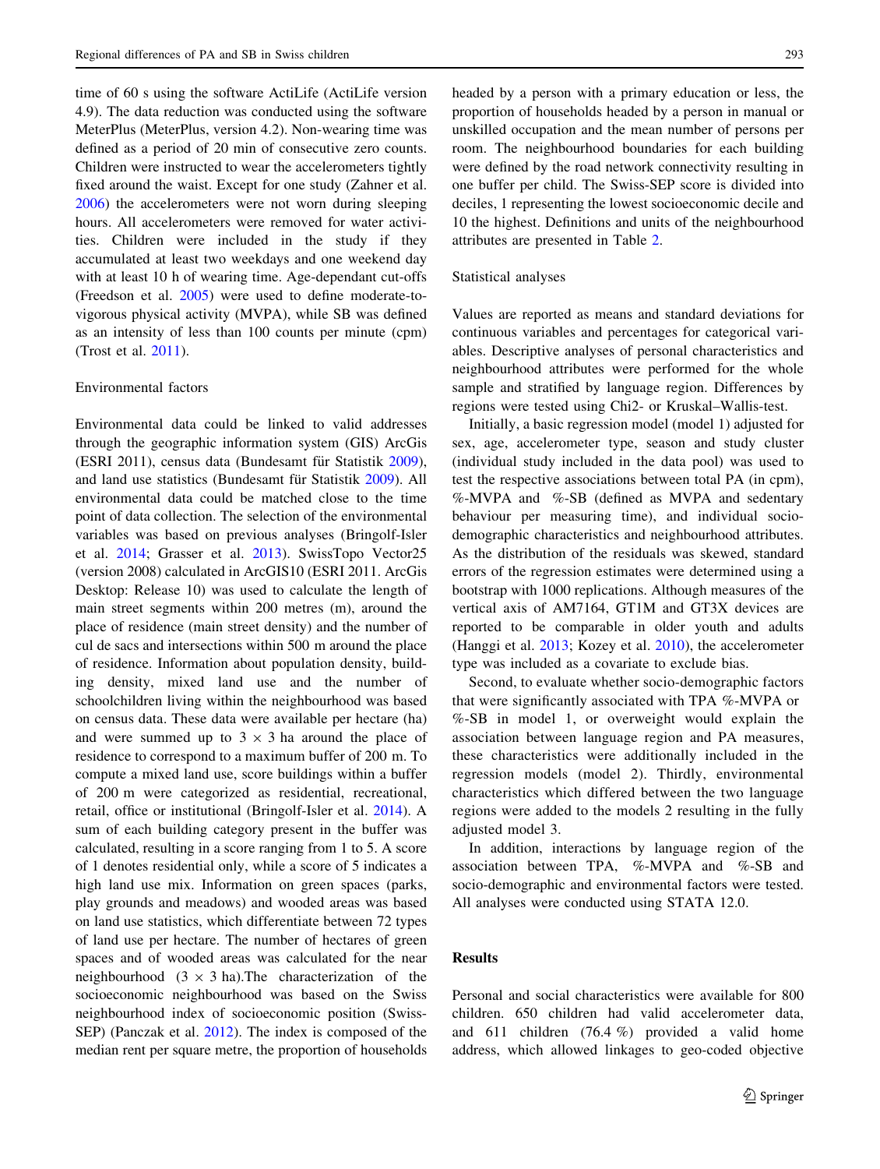time of 60 s using the software ActiLife (ActiLife version 4.9). The data reduction was conducted using the software MeterPlus (MeterPlus, version 4.2). Non-wearing time was defined as a period of 20 min of consecutive zero counts. Children were instructed to wear the accelerometers tightly fixed around the waist. Except for one study (Zahner et al. 2006) the accelerometers were not worn during sleeping hours. All accelerometers were removed for water activities. Children were included in the study if they accumulated at least two weekdays and one weekend day with at least 10 h of wearing time. Age-dependant cut-offs (Freedson et al. 2005) were used to define moderate-tovigorous physical activity (MVPA), while SB was defined as an intensity of less than 100 counts per minute (cpm) (Trost et al. 2011).

#### Environmental factors

Environmental data could be linked to valid addresses through the geographic information system (GIS) ArcGis (ESRI 2011), census data (Bundesamt für Statistik 2009), and land use statistics (Bundesamt für Statistik 2009). All environmental data could be matched close to the time point of data collection. The selection of the environmental variables was based on previous analyses (Bringolf-Isler et al. 2014; Grasser et al. 2013). SwissTopo Vector25 (version 2008) calculated in ArcGIS10 (ESRI 2011. ArcGis Desktop: Release 10) was used to calculate the length of main street segments within 200 metres (m), around the place of residence (main street density) and the number of cul de sacs and intersections within 500 m around the place of residence. Information about population density, building density, mixed land use and the number of schoolchildren living within the neighbourhood was based on census data. These data were available per hectare (ha) and were summed up to  $3 \times 3$  ha around the place of residence to correspond to a maximum buffer of 200 m. To compute a mixed land use, score buildings within a buffer of 200 m were categorized as residential, recreational, retail, office or institutional (Bringolf-Isler et al. 2014). A sum of each building category present in the buffer was calculated, resulting in a score ranging from 1 to 5. A score of 1 denotes residential only, while a score of 5 indicates a high land use mix. Information on green spaces (parks, play grounds and meadows) and wooded areas was based on land use statistics, which differentiate between 72 types of land use per hectare. The number of hectares of green spaces and of wooded areas was calculated for the near neighbourhood  $(3 \times 3$  ha). The characterization of the socioeconomic neighbourhood was based on the Swiss neighbourhood index of socioeconomic position (Swiss-SEP) (Panczak et al. 2012). The index is composed of the median rent per square metre, the proportion of households headed by a person with a primary education or less, the proportion of households headed by a person in manual or unskilled occupation and the mean number of persons per room. The neighbourhood boundaries for each building were defined by the road network connectivity resulting in one buffer per child. The Swiss-SEP score is divided into deciles, 1 representing the lowest socioeconomic decile and 10 the highest. Definitions and units of the neighbourhood attributes are presented in Table 2.

#### Statistical analyses

Values are reported as means and standard deviations for continuous variables and percentages for categorical variables. Descriptive analyses of personal characteristics and neighbourhood attributes were performed for the whole sample and stratified by language region. Differences by regions were tested using Chi2- or Kruskal–Wallis-test.

Initially, a basic regression model (model 1) adjusted for sex, age, accelerometer type, season and study cluster (individual study included in the data pool) was used to test the respective associations between total PA (in cpm), %-MVPA and %-SB (defined as MVPA and sedentary behaviour per measuring time), and individual sociodemographic characteristics and neighbourhood attributes. As the distribution of the residuals was skewed, standard errors of the regression estimates were determined using a bootstrap with 1000 replications. Although measures of the vertical axis of AM7164, GT1M and GT3X devices are reported to be comparable in older youth and adults (Hanggi et al. 2013; Kozey et al. 2010), the accelerometer type was included as a covariate to exclude bias.

Second, to evaluate whether socio-demographic factors that were significantly associated with TPA %-MVPA or %-SB in model 1, or overweight would explain the association between language region and PA measures, these characteristics were additionally included in the regression models (model 2). Thirdly, environmental characteristics which differed between the two language regions were added to the models 2 resulting in the fully adjusted model 3.

In addition, interactions by language region of the association between TPA, %-MVPA and %-SB and socio-demographic and environmental factors were tested. All analyses were conducted using STATA 12.0.

# Results

Personal and social characteristics were available for 800 children. 650 children had valid accelerometer data, and 611 children (76.4 %) provided a valid home address, which allowed linkages to geo-coded objective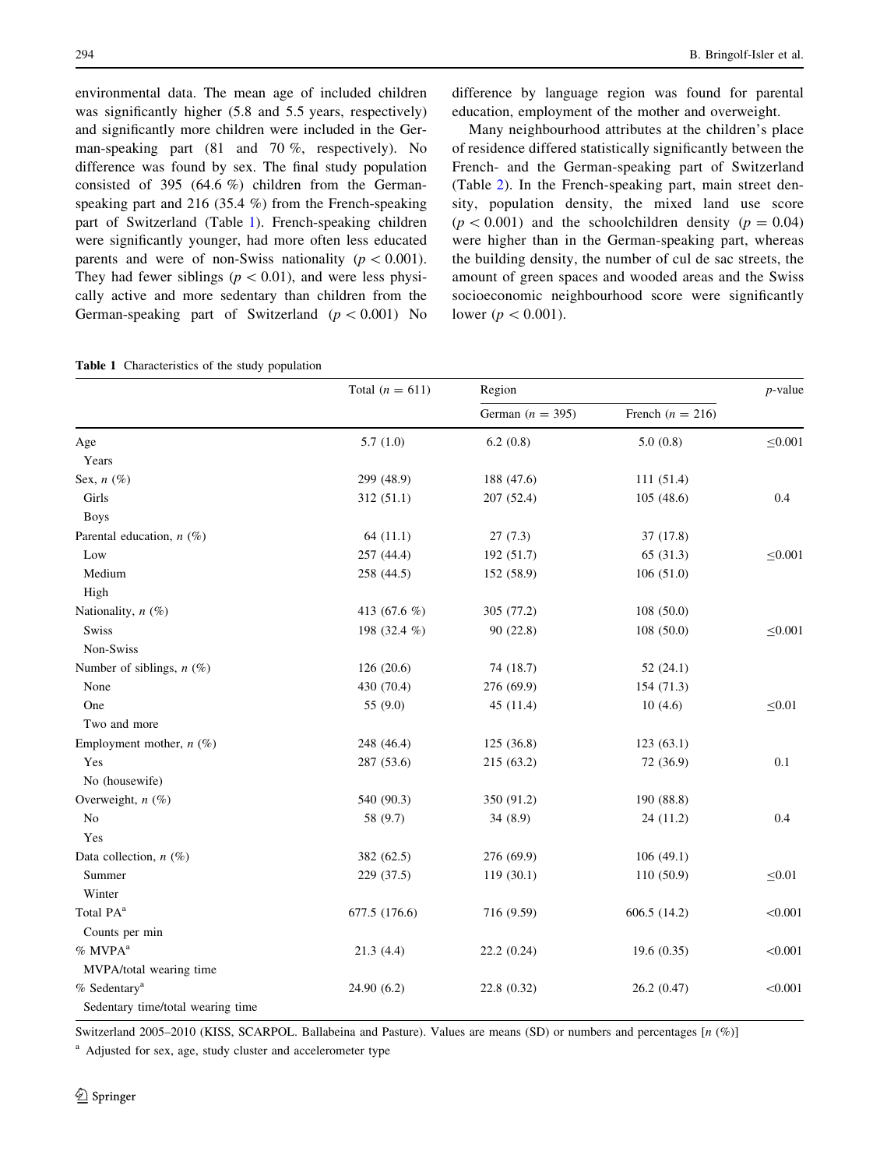environmental data. The mean age of included children was significantly higher (5.8 and 5.5 years, respectively) and significantly more children were included in the German-speaking part (81 and 70 %, respectively). No difference was found by sex. The final study population consisted of 395 (64.6 %) children from the Germanspeaking part and 216 (35.4 %) from the French-speaking part of Switzerland (Table 1). French-speaking children were significantly younger, had more often less educated parents and were of non-Swiss nationality ( $p < 0.001$ ). They had fewer siblings ( $p \lt 0.01$ ), and were less physically active and more sedentary than children from the German-speaking part of Switzerland ( $p < 0.001$ ) No

Table 1 Characteristics of the study population

difference by language region was found for parental education, employment of the mother and overweight.

Many neighbourhood attributes at the children's place of residence differed statistically significantly between the French- and the German-speaking part of Switzerland (Table 2). In the French-speaking part, main street density, population density, the mixed land use score  $(p < 0.001)$  and the schoolchildren density  $(p = 0.04)$ were higher than in the German-speaking part, whereas the building density, the number of cul de sac streets, the amount of green spaces and wooded areas and the Swiss socioeconomic neighbourhood score were significantly lower ( $p < 0.001$ ).

|                                   | Total $(n = 611)$ | Region             |                      |              |  |
|-----------------------------------|-------------------|--------------------|----------------------|--------------|--|
|                                   |                   | German $(n = 395)$ | French ( $n = 216$ ) |              |  |
| Age                               | 5.7(1.0)          | 6.2(0.8)           | 5.0(0.8)             | $\leq 0.001$ |  |
| Years                             |                   |                    |                      |              |  |
| Sex, $n$ (%)                      | 299 (48.9)        | 188 (47.6)         | 111(51.4)            |              |  |
| Girls                             | 312(51.1)         | 207 (52.4)         | 105(48.6)            | 0.4          |  |
| <b>Boys</b>                       |                   |                    |                      |              |  |
| Parental education, $n$ (%)       | 64(11.1)          | 27(7.3)            | 37 (17.8)            |              |  |
| Low                               | 257 (44.4)        | 192 (51.7)         | 65 (31.3)            | $\leq 0.001$ |  |
| Medium                            | 258 (44.5)        | 152 (58.9)         | 106(51.0)            |              |  |
| High                              |                   |                    |                      |              |  |
| Nationality, $n$ (%)              | 413 (67.6 %)      | 305 (77.2)         | 108(50.0)            |              |  |
| Swiss                             | 198 (32.4 %)      | 90(22.8)           | 108(50.0)            | $\leq 0.001$ |  |
| Non-Swiss                         |                   |                    |                      |              |  |
| Number of siblings, $n$ (%)       | 126 (20.6)        | 74 (18.7)          | 52(24.1)             |              |  |
| None                              | 430 (70.4)        | 276 (69.9)         | 154 (71.3)           |              |  |
| One                               | 55 (9.0)          | 45(11.4)           | 10(4.6)              | $\leq 0.01$  |  |
| Two and more                      |                   |                    |                      |              |  |
| Employment mother, $n$ (%)        | 248 (46.4)        | 125 (36.8)         | 123(63.1)            |              |  |
| Yes                               | 287 (53.6)        | 215 (63.2)         | 72 (36.9)            | 0.1          |  |
| No (housewife)                    |                   |                    |                      |              |  |
| Overweight, $n$ $(\%)$            | 540 (90.3)        | 350 (91.2)         | 190 (88.8)           |              |  |
| N <sub>o</sub>                    | 58 (9.7)          | 34(8.9)            | 24(11.2)             | 0.4          |  |
| Yes                               |                   |                    |                      |              |  |
| Data collection, $n$ (%)          | 382 (62.5)        | 276 (69.9)         | 106(49.1)            |              |  |
| Summer                            | 229 (37.5)        | 119(30.1)          | 110(50.9)            | $\leq 0.01$  |  |
| Winter                            |                   |                    |                      |              |  |
| Total PA <sup>a</sup>             | 677.5 (176.6)     | 716 (9.59)         | 606.5(14.2)          | < 0.001      |  |
| Counts per min                    |                   |                    |                      |              |  |
| $%$ MVPA <sup>a</sup>             | 21.3(4.4)         | 22.2(0.24)         | 19.6(0.35)           | < 0.001      |  |
| MVPA/total wearing time           |                   |                    |                      |              |  |
| % Sedentary <sup>a</sup>          | 24.90(6.2)        | 22.8 (0.32)        | 26.2 (0.47)          | < 0.001      |  |
| Sedentary time/total wearing time |                   |                    |                      |              |  |

Switzerland 2005–2010 (KISS, SCARPOL. Ballabeina and Pasture). Values are means (SD) or numbers and percentages [n (%)]

<sup>a</sup> Adjusted for sex, age, study cluster and accelerometer type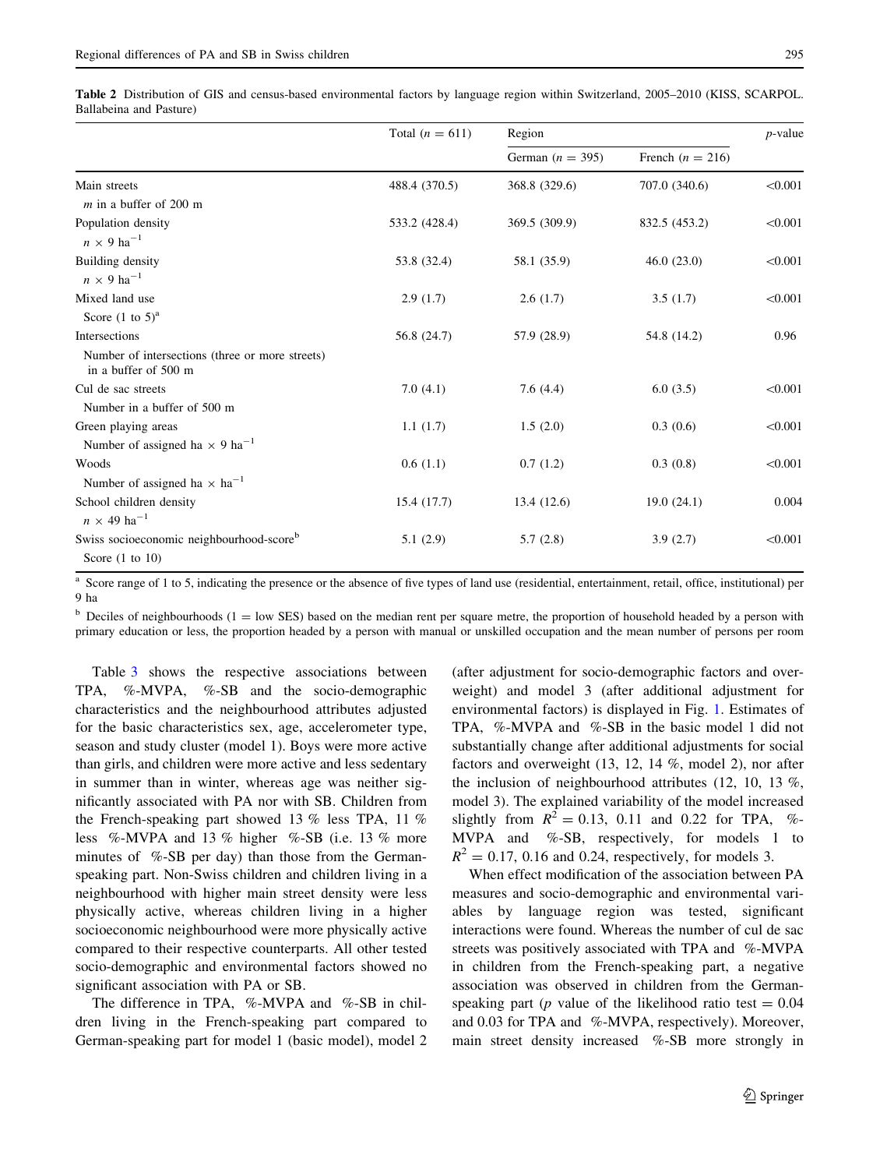Table 2 Distribution of GIS and census-based environmental factors by language region within Switzerland, 2005–2010 (KISS, SCARPOL. Ballabeina and Pasture)

|                                                                         | Total $(n = 611)$ | Region             | $p$ -value           |         |
|-------------------------------------------------------------------------|-------------------|--------------------|----------------------|---------|
|                                                                         |                   | German $(n = 395)$ | French ( $n = 216$ ) |         |
| Main streets                                                            | 488.4 (370.5)     | 368.8 (329.6)      | 707.0 (340.6)        | < 0.001 |
| $m$ in a buffer of 200 m                                                |                   |                    |                      |         |
| Population density<br>$n \times 9$ ha <sup>-1</sup>                     | 533.2 (428.4)     | 369.5 (309.9)      | 832.5 (453.2)        | < 0.001 |
| Building density<br>$n \times 9$ ha <sup>-1</sup>                       | 53.8 (32.4)       | 58.1 (35.9)        | 46.0(23.0)           | < 0.001 |
| Mixed land use                                                          | 2.9(1.7)          | 2.6(1.7)           | 3.5(1.7)             | < 0.001 |
| Score $(1 \text{ to } 5)^a$                                             |                   |                    |                      |         |
| Intersections                                                           | 56.8 (24.7)       | 57.9 (28.9)        | 54.8 (14.2)          | 0.96    |
| Number of intersections (three or more streets)<br>in a buffer of 500 m |                   |                    |                      |         |
| Cul de sac streets                                                      | 7.0(4.1)          | 7.6(4.4)           | 6.0(3.5)             | < 0.001 |
| Number in a buffer of 500 m                                             |                   |                    |                      |         |
| Green playing areas                                                     | 1.1(1.7)          | 1.5(2.0)           | 0.3(0.6)             | < 0.001 |
| Number of assigned ha $\times$ 9 ha <sup>-1</sup>                       |                   |                    |                      |         |
| Woods<br>Number of assigned ha $\times$ ha <sup>-1</sup>                | 0.6(1.1)          | 0.7(1.2)           | 0.3(0.8)             | < 0.001 |
| School children density<br>$n \times 49$ ha <sup>-1</sup>               | 15.4(17.7)        | 13.4 (12.6)        | 19.0(24.1)           | 0.004   |
| Swiss socioeconomic neighbourhood-scoreb<br>Score $(1 \text{ to } 10)$  | 5.1(2.9)          | 5.7(2.8)           | 3.9(2.7)             | < 0.001 |

<sup>a</sup> Score range of 1 to 5, indicating the presence or the absence of five types of land use (residential, entertainment, retail, office, institutional) per 9 ha

 $b$  Deciles of neighbourhoods (1 = low SES) based on the median rent per square metre, the proportion of household headed by a person with primary education or less, the proportion headed by a person with manual or unskilled occupation and the mean number of persons per room

Table 3 shows the respective associations between TPA, %-MVPA, %-SB and the socio-demographic characteristics and the neighbourhood attributes adjusted for the basic characteristics sex, age, accelerometer type, season and study cluster (model 1). Boys were more active than girls, and children were more active and less sedentary in summer than in winter, whereas age was neither significantly associated with PA nor with SB. Children from the French-speaking part showed 13 % less TPA, 11 % less %-MVPA and 13 % higher %-SB (i.e. 13 % more minutes of %-SB per day) than those from the Germanspeaking part. Non-Swiss children and children living in a neighbourhood with higher main street density were less physically active, whereas children living in a higher socioeconomic neighbourhood were more physically active compared to their respective counterparts. All other tested socio-demographic and environmental factors showed no significant association with PA or SB.

The difference in TPA, %-MVPA and %-SB in children living in the French-speaking part compared to German-speaking part for model 1 (basic model), model 2

(after adjustment for socio-demographic factors and overweight) and model 3 (after additional adjustment for environmental factors) is displayed in Fig. 1. Estimates of TPA, %-MVPA and %-SB in the basic model 1 did not substantially change after additional adjustments for social factors and overweight (13, 12, 14 %, model 2), nor after the inclusion of neighbourhood attributes (12, 10, 13 %, model 3). The explained variability of the model increased slightly from  $R^2 = 0.13$ , 0.11 and 0.22 for TPA, %-MVPA and %-SB, respectively, for models 1 to  $R^2 = 0.17$ , 0.16 and 0.24, respectively, for models 3.

When effect modification of the association between PA measures and socio-demographic and environmental variables by language region was tested, significant interactions were found. Whereas the number of cul de sac streets was positively associated with TPA and %-MVPA in children from the French-speaking part, a negative association was observed in children from the Germanspeaking part (*p* value of the likelihood ratio test  $= 0.04$ and 0.03 for TPA and %-MVPA, respectively). Moreover, main street density increased %-SB more strongly in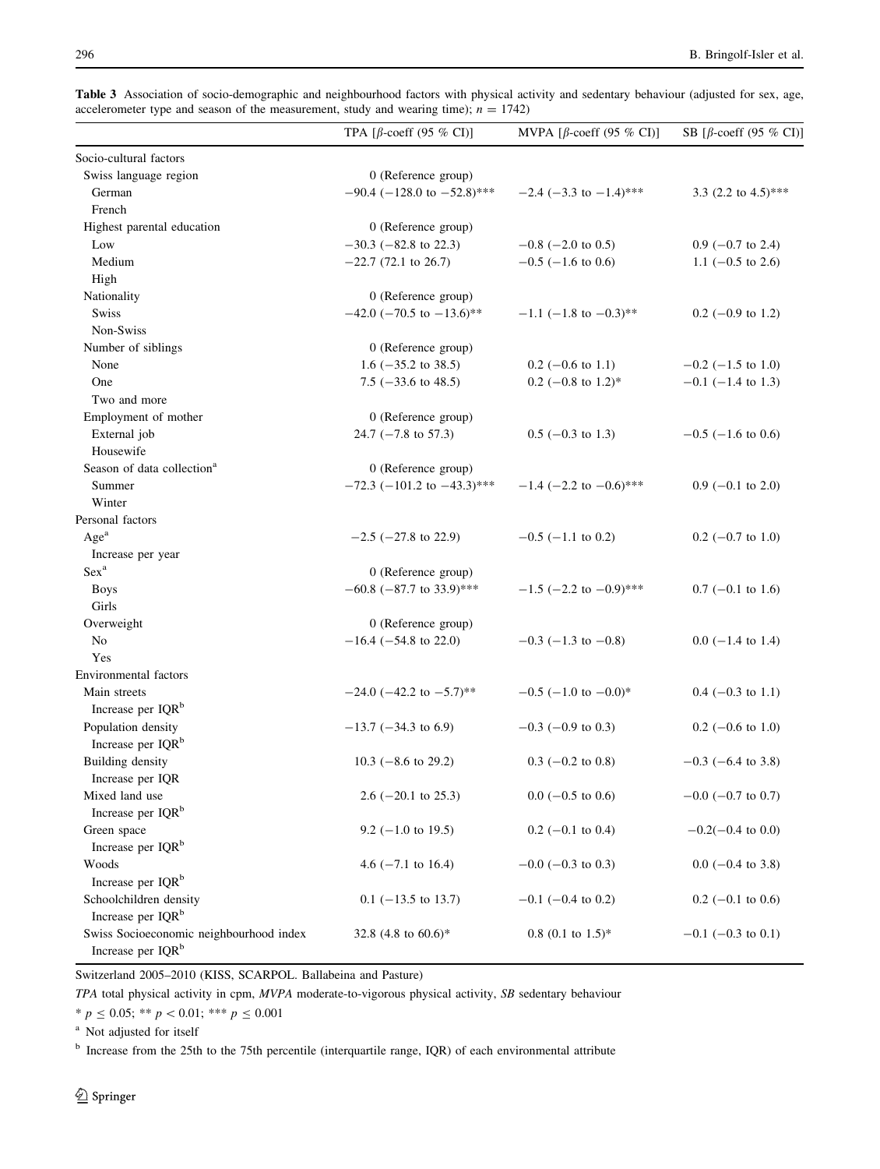|  | Table 3 Association of socio-demographic and neighbourhood factors with physical activity and sedentary behaviour (adjusted for sex, age, |  |  |  |  |  |  |
|--|-------------------------------------------------------------------------------------------------------------------------------------------|--|--|--|--|--|--|
|  | accelerometer type and season of the measurement, study and wearing time); $n = 1742$                                                     |  |  |  |  |  |  |

|                                                                          | TPA [ $\beta$ -coeff (95 % CI)]    | MVPA [ $\beta$ -coeff (95 % CI)] | SB [ $\beta$ -coeff (95 % CI)] |
|--------------------------------------------------------------------------|------------------------------------|----------------------------------|--------------------------------|
| Socio-cultural factors                                                   |                                    |                                  |                                |
| Swiss language region                                                    | 0 (Reference group)                |                                  |                                |
| German                                                                   | $-90.4$ ( $-128.0$ to $-52.8$ )*** | $-2.4$ (-3.3 to -1.4)***         | 3.3 (2.2 to $4.5$ )***         |
| French                                                                   |                                    |                                  |                                |
| Highest parental education                                               | 0 (Reference group)                |                                  |                                |
| Low                                                                      | $-30.3$ ( $-82.8$ to 22.3)         | $-0.8$ ( $-2.0$ to 0.5)          | $0.9$ (-0.7 to 2.4)            |
| Medium                                                                   | $-22.7$ (72.1 to 26.7)             | $-0.5$ ( $-1.6$ to 0.6)          | 1.1 $(-0.5 \text{ to } 2.6)$   |
| High                                                                     |                                    |                                  |                                |
| Nationality                                                              | 0 (Reference group)                |                                  |                                |
| <b>Swiss</b>                                                             | $-42.0$ ( $-70.5$ to $-13.6$ )**   | $-1.1$ (-1.8 to $-0.3$ )**       | $0.2$ (-0.9 to 1.2)            |
| Non-Swiss                                                                |                                    |                                  |                                |
| Number of siblings                                                       | 0 (Reference group)                |                                  |                                |
| None                                                                     | 1.6 $(-35.2 \text{ to } 38.5)$     | $0.2$ (-0.6 to 1.1)              | $-0.2$ ( $-1.5$ to 1.0)        |
| One                                                                      | 7.5 $(-33.6 \text{ to } 48.5)$     | $0.2$ (-0.8 to 1.2)*             | $-0.1$ ( $-1.4$ to 1.3)        |
| Two and more                                                             |                                    |                                  |                                |
| Employment of mother                                                     | 0 (Reference group)                |                                  |                                |
| External job                                                             | 24.7 $(-7.8 \text{ to } 57.3)$     | $0.5$ (-0.3 to 1.3)              | $-0.5$ ( $-1.6$ to 0.6)        |
| Housewife                                                                |                                    |                                  |                                |
| Season of data collection <sup>a</sup>                                   | 0 (Reference group)                |                                  |                                |
| Summer                                                                   | $-72.3$ (-101.2 to -43.3)***       | $-1.4$ (-2.2 to $-0.6$ )***      | $0.9$ (-0.1 to 2.0)            |
| Winter                                                                   |                                    |                                  |                                |
| Personal factors                                                         |                                    |                                  |                                |
| Age <sup>a</sup>                                                         | $-2.5$ ( $-27.8$ to 22.9)          | $-0.5$ ( $-1.1$ to 0.2)          | $0.2$ (-0.7 to 1.0)            |
| Increase per year                                                        |                                    |                                  |                                |
| Sex <sup>a</sup>                                                         | 0 (Reference group)                |                                  |                                |
| <b>Boys</b>                                                              | $-60.8$ (-87.7 to 33.9)***         | $-1.5$ (-2.2 to $-0.9$ )***      | $0.7$ (-0.1 to 1.6)            |
| Girls                                                                    |                                    |                                  |                                |
| Overweight                                                               | 0 (Reference group)                |                                  |                                |
| N <sub>o</sub>                                                           | $-16.4$ ( $-54.8$ to 22.0)         | $-0.3$ (-1.3 to -0.8)            | $0.0$ (-1.4 to 1.4)            |
| Yes                                                                      |                                    |                                  |                                |
| <b>Environmental</b> factors                                             |                                    |                                  |                                |
| Main streets                                                             | $-24.0$ ( $-42.2$ to $-5.7$ )**    | $-0.5$ (-1.0 to $-0.0$ )*        | $0.4$ (-0.3 to 1.1)            |
| Increase per IQR <sup>b</sup>                                            |                                    |                                  |                                |
| Population density                                                       | $-13.7$ ( $-34.3$ to 6.9)          | $-0.3$ ( $-0.9$ to 0.3)          | $0.2$ (-0.6 to 1.0)            |
| Increase per IQR <sup>b</sup>                                            |                                    |                                  |                                |
| <b>Building density</b>                                                  | 10.3 ( $-8.6$ to 29.2)             | $0.3$ (-0.2 to 0.8)              | $-0.3$ (-6.4 to 3.8)           |
| Increase per IQR                                                         |                                    |                                  |                                |
| Mixed land use                                                           | $2.6$ (-20.1 to 25.3)              | $0.0$ (-0.5 to 0.6)              | $-0.0$ ( $-0.7$ to 0.7)        |
| Increase per IQR <sup>b</sup>                                            |                                    |                                  |                                |
| Green space                                                              | $9.2$ (-1.0 to 19.5)               | $0.2$ (-0.1 to 0.4)              | $-0.2(-0.4 \text{ to } 0.0)$   |
| Increase per IQR <sup>b</sup>                                            |                                    |                                  |                                |
| Woods                                                                    | 4.6 $(-7.1 \text{ to } 16.4)$      | $-0.0$ ( $-0.3$ to 0.3)          | $0.0$ (-0.4 to 3.8)            |
| Increase per IQR <sup>b</sup>                                            |                                    |                                  |                                |
| Schoolchildren density                                                   | $0.1$ (-13.5 to 13.7)              | $-0.1$ ( $-0.4$ to 0.2)          | $0.2$ (-0.1 to 0.6)            |
| Increase per IQR <sup>b</sup>                                            |                                    |                                  |                                |
| Swiss Socioeconomic neighbourhood index<br>Increase per IQR <sup>b</sup> | 32.8 (4.8 to $60.6$ )*             | $0.8$ (0.1 to 1.5)*              | $-0.1$ (-0.3 to 0.1)           |

Switzerland 2005–2010 (KISS, SCARPOL. Ballabeina and Pasture)

TPA total physical activity in cpm, MVPA moderate-to-vigorous physical activity, SB sedentary behaviour

\*  $p \le 0.05$ ; \*\*  $p < 0.01$ ; \*\*\*  $p \le 0.001$ 

<sup>a</sup> Not adjusted for itself

<sup>b</sup> Increase from the 25th to the 75th percentile (interquartile range, IQR) of each environmental attribute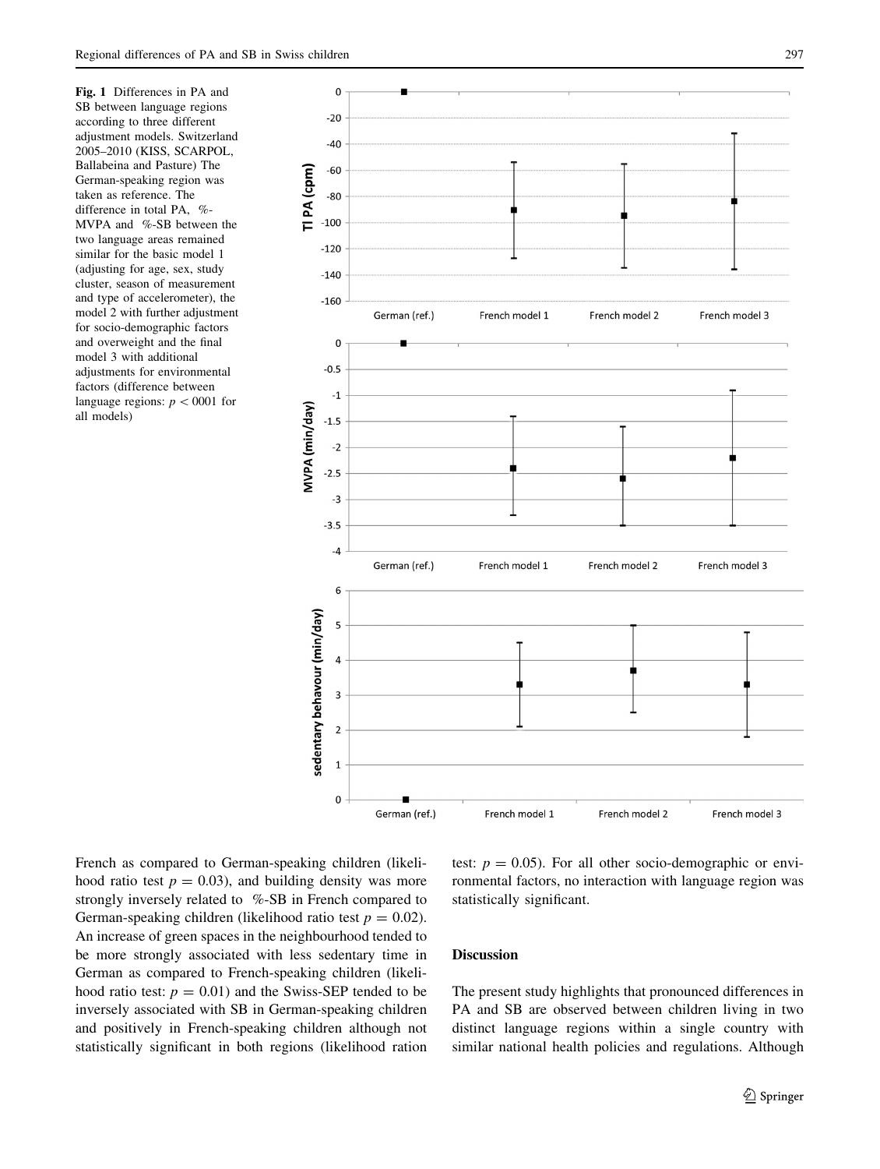Fig. 1 Differences in PA and SB between language regions according to three different adjustment models. Switzerland 2005–2010 (KISS, SCARPOL, Ballabeina and Pasture) The German-speaking region was taken as reference. The difference in total PA, %-MVPA and %-SB between the two language areas remained similar for the basic model 1 (adjusting for age, sex, study cluster, season of measurement and type of accelerometer), the model 2 with further adjustment for socio-demographic factors and overweight and the final model 3 with additional adjustments for environmental factors (difference between language regions:  $p < 0001$  for all models)



French as compared to German-speaking children (likelihood ratio test  $p = 0.03$ , and building density was more strongly inversely related to %-SB in French compared to German-speaking children (likelihood ratio test  $p = 0.02$ ). An increase of green spaces in the neighbourhood tended to be more strongly associated with less sedentary time in German as compared to French-speaking children (likelihood ratio test:  $p = 0.01$ ) and the Swiss-SEP tended to be inversely associated with SB in German-speaking children and positively in French-speaking children although not statistically significant in both regions (likelihood ration test:  $p = 0.05$ ). For all other socio-demographic or environmental factors, no interaction with language region was statistically significant.

## Discussion

The present study highlights that pronounced differences in PA and SB are observed between children living in two distinct language regions within a single country with similar national health policies and regulations. Although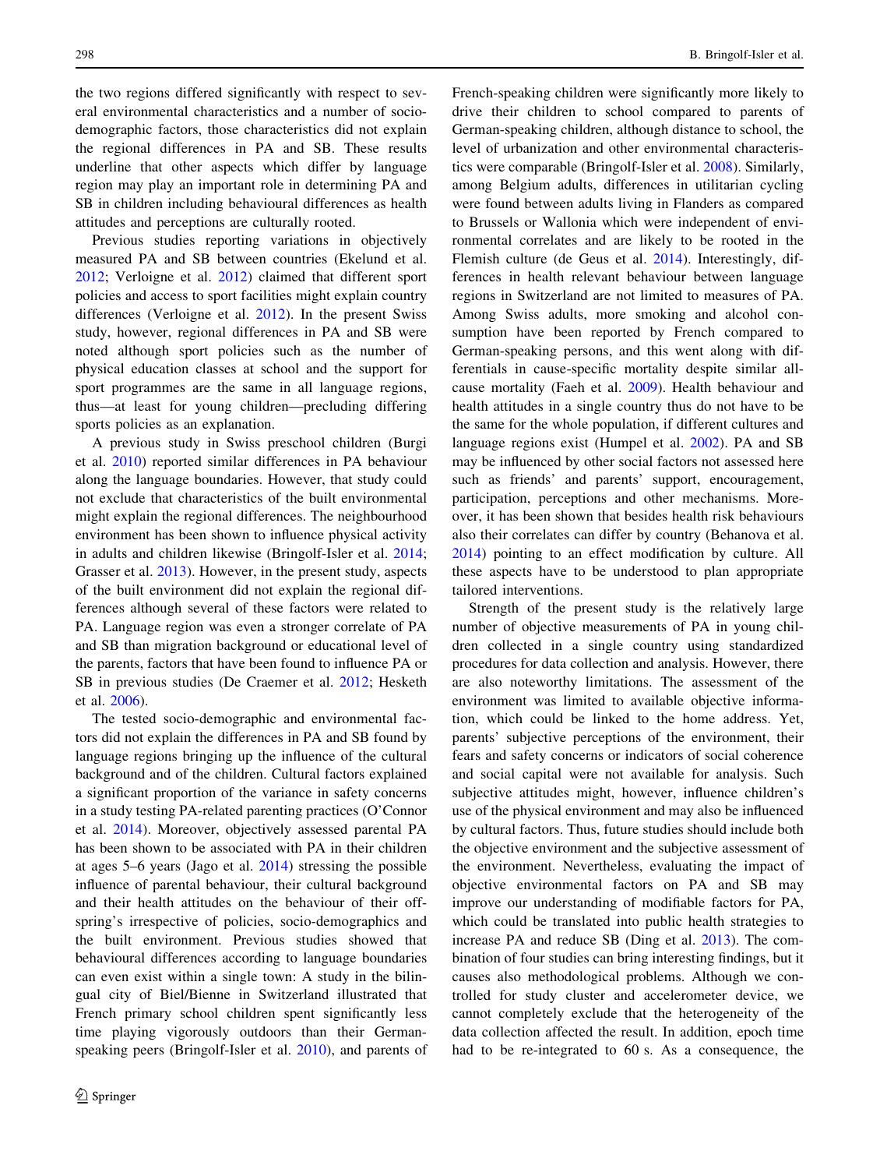the two regions differed significantly with respect to several environmental characteristics and a number of sociodemographic factors, those characteristics did not explain the regional differences in PA and SB. These results underline that other aspects which differ by language region may play an important role in determining PA and SB in children including behavioural differences as health attitudes and perceptions are culturally rooted.

Previous studies reporting variations in objectively measured PA and SB between countries (Ekelund et al. 2012; Verloigne et al. 2012) claimed that different sport policies and access to sport facilities might explain country differences (Verloigne et al. 2012). In the present Swiss study, however, regional differences in PA and SB were noted although sport policies such as the number of physical education classes at school and the support for sport programmes are the same in all language regions, thus—at least for young children—precluding differing sports policies as an explanation.

A previous study in Swiss preschool children (Burgi et al. 2010) reported similar differences in PA behaviour along the language boundaries. However, that study could not exclude that characteristics of the built environmental might explain the regional differences. The neighbourhood environment has been shown to influence physical activity in adults and children likewise (Bringolf-Isler et al. 2014; Grasser et al. 2013). However, in the present study, aspects of the built environment did not explain the regional differences although several of these factors were related to PA. Language region was even a stronger correlate of PA and SB than migration background or educational level of the parents, factors that have been found to influence PA or SB in previous studies (De Craemer et al. 2012; Hesketh et al. 2006).

The tested socio-demographic and environmental factors did not explain the differences in PA and SB found by language regions bringing up the influence of the cultural background and of the children. Cultural factors explained a significant proportion of the variance in safety concerns in a study testing PA-related parenting practices (O'Connor et al. 2014). Moreover, objectively assessed parental PA has been shown to be associated with PA in their children at ages 5–6 years (Jago et al. 2014) stressing the possible influence of parental behaviour, their cultural background and their health attitudes on the behaviour of their offspring's irrespective of policies, socio-demographics and the built environment. Previous studies showed that behavioural differences according to language boundaries can even exist within a single town: A study in the bilingual city of Biel/Bienne in Switzerland illustrated that French primary school children spent significantly less time playing vigorously outdoors than their Germanspeaking peers (Bringolf-Isler et al. 2010), and parents of French-speaking children were significantly more likely to drive their children to school compared to parents of German-speaking children, although distance to school, the level of urbanization and other environmental characteristics were comparable (Bringolf-Isler et al. 2008). Similarly, among Belgium adults, differences in utilitarian cycling were found between adults living in Flanders as compared to Brussels or Wallonia which were independent of environmental correlates and are likely to be rooted in the Flemish culture (de Geus et al. 2014). Interestingly, differences in health relevant behaviour between language regions in Switzerland are not limited to measures of PA. Among Swiss adults, more smoking and alcohol consumption have been reported by French compared to German-speaking persons, and this went along with differentials in cause-specific mortality despite similar allcause mortality (Faeh et al. 2009). Health behaviour and health attitudes in a single country thus do not have to be the same for the whole population, if different cultures and language regions exist (Humpel et al. 2002). PA and SB may be influenced by other social factors not assessed here such as friends' and parents' support, encouragement, participation, perceptions and other mechanisms. Moreover, it has been shown that besides health risk behaviours also their correlates can differ by country (Behanova et al. 2014) pointing to an effect modification by culture. All these aspects have to be understood to plan appropriate tailored interventions.

Strength of the present study is the relatively large number of objective measurements of PA in young children collected in a single country using standardized procedures for data collection and analysis. However, there are also noteworthy limitations. The assessment of the environment was limited to available objective information, which could be linked to the home address. Yet, parents' subjective perceptions of the environment, their fears and safety concerns or indicators of social coherence and social capital were not available for analysis. Such subjective attitudes might, however, influence children's use of the physical environment and may also be influenced by cultural factors. Thus, future studies should include both the objective environment and the subjective assessment of the environment. Nevertheless, evaluating the impact of objective environmental factors on PA and SB may improve our understanding of modifiable factors for PA, which could be translated into public health strategies to increase PA and reduce SB (Ding et al. 2013). The combination of four studies can bring interesting findings, but it causes also methodological problems. Although we controlled for study cluster and accelerometer device, we cannot completely exclude that the heterogeneity of the data collection affected the result. In addition, epoch time had to be re-integrated to 60 s. As a consequence, the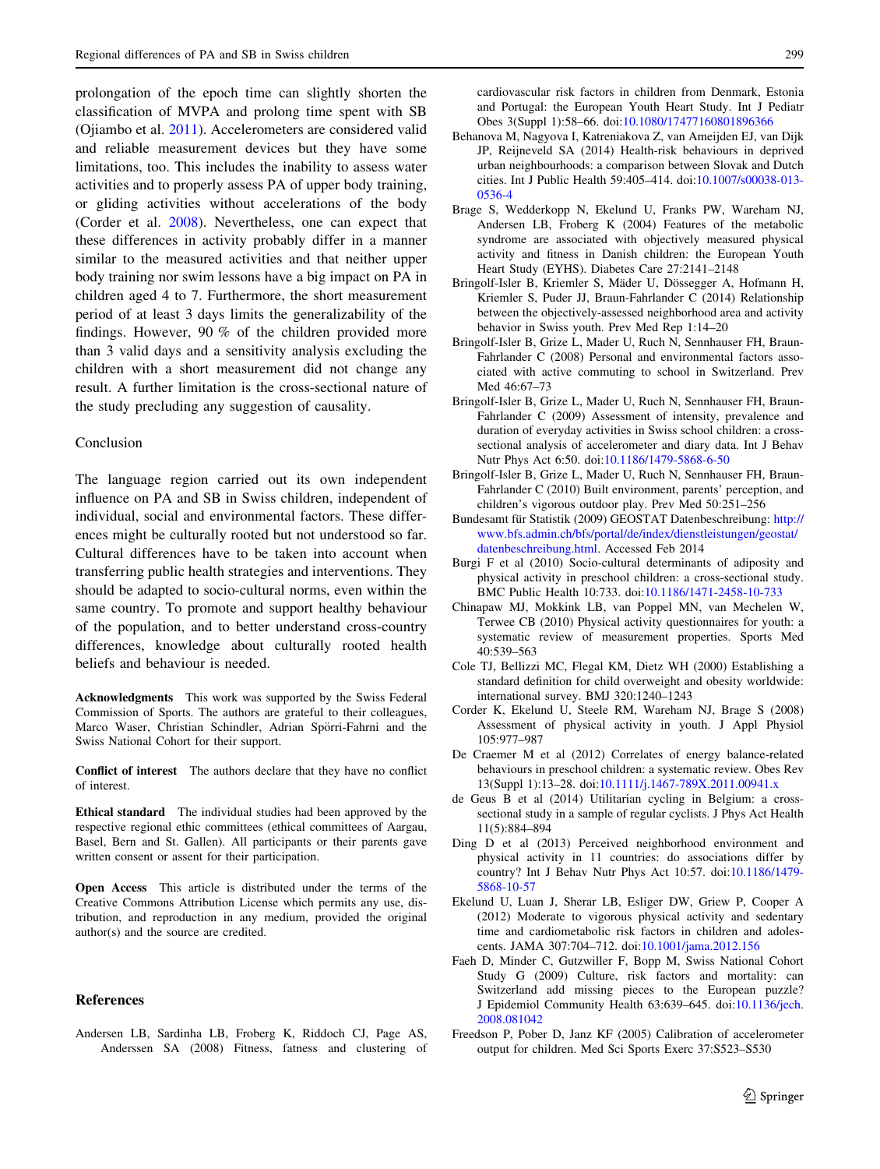prolongation of the epoch time can slightly shorten the classification of MVPA and prolong time spent with SB (Ojiambo et al. 2011). Accelerometers are considered valid and reliable measurement devices but they have some limitations, too. This includes the inability to assess water activities and to properly assess PA of upper body training, or gliding activities without accelerations of the body (Corder et al. 2008). Nevertheless, one can expect that these differences in activity probably differ in a manner similar to the measured activities and that neither upper body training nor swim lessons have a big impact on PA in children aged 4 to 7. Furthermore, the short measurement period of at least 3 days limits the generalizability of the findings. However, 90 % of the children provided more than 3 valid days and a sensitivity analysis excluding the children with a short measurement did not change any result. A further limitation is the cross-sectional nature of the study precluding any suggestion of causality.

### Conclusion

The language region carried out its own independent influence on PA and SB in Swiss children, independent of individual, social and environmental factors. These differences might be culturally rooted but not understood so far. Cultural differences have to be taken into account when transferring public health strategies and interventions. They should be adapted to socio-cultural norms, even within the same country. To promote and support healthy behaviour of the population, and to better understand cross-country differences, knowledge about culturally rooted health beliefs and behaviour is needed.

Acknowledgments This work was supported by the Swiss Federal Commission of Sports. The authors are grateful to their colleagues, Marco Waser, Christian Schindler, Adrian Spörri-Fahrni and the Swiss National Cohort for their support.

Conflict of interest The authors declare that they have no conflict of interest.

Ethical standard The individual studies had been approved by the respective regional ethic committees (ethical committees of Aargau, Basel, Bern and St. Gallen). All participants or their parents gave written consent or assent for their participation.

Open Access This article is distributed under the terms of the Creative Commons Attribution License which permits any use, distribution, and reproduction in any medium, provided the original author(s) and the source are credited.

#### References

cardiovascular risk factors in children from Denmark, Estonia and Portugal: the European Youth Heart Study. Int J Pediatr Obes 3(Suppl 1):58–66. doi:[10.1080/17477160801896366](http://dx.doi.org/10.1080/17477160801896366)

- Behanova M, Nagyova I, Katreniakova Z, van Ameijden EJ, van Dijk JP, Reijneveld SA (2014) Health-risk behaviours in deprived urban neighbourhoods: a comparison between Slovak and Dutch cities. Int J Public Health 59:405–414. doi:[10.1007/s00038-013-](http://dx.doi.org/10.1007/s00038-013-0536-4) [0536-4](http://dx.doi.org/10.1007/s00038-013-0536-4)
- Brage S, Wedderkopp N, Ekelund U, Franks PW, Wareham NJ, Andersen LB, Froberg K (2004) Features of the metabolic syndrome are associated with objectively measured physical activity and fitness in Danish children: the European Youth Heart Study (EYHS). Diabetes Care 27:2141–2148
- Bringolf-Isler B, Kriemler S, Mäder U, Dössegger A, Hofmann H, Kriemler S, Puder JJ, Braun-Fahrlander C (2014) Relationship between the objectively-assessed neighborhood area and activity behavior in Swiss youth. Prev Med Rep 1:14–20
- Bringolf-Isler B, Grize L, Mader U, Ruch N, Sennhauser FH, Braun-Fahrlander C (2008) Personal and environmental factors associated with active commuting to school in Switzerland. Prev Med 46:67–73
- Bringolf-Isler B, Grize L, Mader U, Ruch N, Sennhauser FH, Braun-Fahrlander C (2009) Assessment of intensity, prevalence and duration of everyday activities in Swiss school children: a crosssectional analysis of accelerometer and diary data. Int J Behav Nutr Phys Act 6:50. doi[:10.1186/1479-5868-6-50](http://dx.doi.org/10.1186/1479-5868-6-50)
- Bringolf-Isler B, Grize L, Mader U, Ruch N, Sennhauser FH, Braun-Fahrlander C (2010) Built environment, parents' perception, and children's vigorous outdoor play. Prev Med 50:251–256
- Bundesamt für Statistik (2009) GEOSTAT Datenbeschreibung: [http://](http://www.bfs.admin.ch/bfs/portal/de/index/dienstleistungen/geostat/datenbeschreibung.html) [www.bfs.admin.ch/bfs/portal/de/index/dienstleistungen/geostat/](http://www.bfs.admin.ch/bfs/portal/de/index/dienstleistungen/geostat/datenbeschreibung.html) [datenbeschreibung.html.](http://www.bfs.admin.ch/bfs/portal/de/index/dienstleistungen/geostat/datenbeschreibung.html) Accessed Feb 2014
- Burgi F et al (2010) Socio-cultural determinants of adiposity and physical activity in preschool children: a cross-sectional study. BMC Public Health 10:733. doi:[10.1186/1471-2458-10-733](http://dx.doi.org/10.1186/1471-2458-10-733)
- Chinapaw MJ, Mokkink LB, van Poppel MN, van Mechelen W, Terwee CB (2010) Physical activity questionnaires for youth: a systematic review of measurement properties. Sports Med 40:539–563
- Cole TJ, Bellizzi MC, Flegal KM, Dietz WH (2000) Establishing a standard definition for child overweight and obesity worldwide: international survey. BMJ 320:1240–1243
- Corder K, Ekelund U, Steele RM, Wareham NJ, Brage S (2008) Assessment of physical activity in youth. J Appl Physiol 105:977–987
- De Craemer M et al (2012) Correlates of energy balance-related behaviours in preschool children: a systematic review. Obes Rev 13(Suppl 1):13–28. doi:[10.1111/j.1467-789X.2011.00941.x](http://dx.doi.org/10.1111/j.1467-789X.2011.00941.x)
- de Geus B et al (2014) Utilitarian cycling in Belgium: a crosssectional study in a sample of regular cyclists. J Phys Act Health 11(5):884–894
- Ding D et al (2013) Perceived neighborhood environment and physical activity in 11 countries: do associations differ by country? Int J Behav Nutr Phys Act 10:57. doi:[10.1186/1479-](http://dx.doi.org/10.1186/1479-5868-10-57) [5868-10-57](http://dx.doi.org/10.1186/1479-5868-10-57)
- Ekelund U, Luan J, Sherar LB, Esliger DW, Griew P, Cooper A (2012) Moderate to vigorous physical activity and sedentary time and cardiometabolic risk factors in children and adolescents. JAMA 307:704–712. doi[:10.1001/jama.2012.156](http://dx.doi.org/10.1001/jama.2012.156)
- Faeh D, Minder C, Gutzwiller F, Bopp M, Swiss National Cohort Study G (2009) Culture, risk factors and mortality: can Switzerland add missing pieces to the European puzzle? J Epidemiol Community Health 63:639–645. doi[:10.1136/jech.](http://dx.doi.org/10.1136/jech.2008.081042) [2008.081042](http://dx.doi.org/10.1136/jech.2008.081042)
- Freedson P, Pober D, Janz KF (2005) Calibration of accelerometer output for children. Med Sci Sports Exerc 37:S523–S530

Andersen LB, Sardinha LB, Froberg K, Riddoch CJ, Page AS, Anderssen SA (2008) Fitness, fatness and clustering of